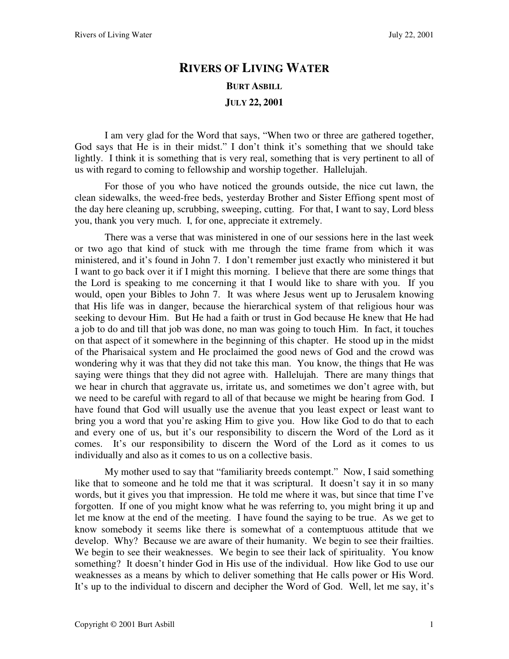## **RIVERS OF LIVING WATER BURT ASBILL JULY 22, 2001**

I am very glad for the Word that says, "When two or three are gathered together, God says that He is in their midst." I don't think it's something that we should take lightly. I think it is something that is very real, something that is very pertinent to all of us with regard to coming to fellowship and worship together. Hallelujah.

For those of you who have noticed the grounds outside, the nice cut lawn, the clean sidewalks, the weed-free beds, yesterday Brother and Sister Effiong spent most of the day here cleaning up, scrubbing, sweeping, cutting. For that, I want to say, Lord bless you, thank you very much. I, for one, appreciate it extremely.

There was a verse that was ministered in one of our sessions here in the last week or two ago that kind of stuck with me through the time frame from which it was ministered, and it's found in John 7. I don't remember just exactly who ministered it but I want to go back over it if I might this morning. I believe that there are some things that the Lord is speaking to me concerning it that I would like to share with you. If you would, open your Bibles to John 7. It was where Jesus went up to Jerusalem knowing that His life was in danger, because the hierarchical system of that religious hour was seeking to devour Him. But He had a faith or trust in God because He knew that He had a job to do and till that job was done, no man was going to touch Him. In fact, it touches on that aspect of it somewhere in the beginning of this chapter. He stood up in the midst of the Pharisaical system and He proclaimed the good news of God and the crowd was wondering why it was that they did not take this man. You know, the things that He was saying were things that they did not agree with. Hallelujah. There are many things that we hear in church that aggravate us, irritate us, and sometimes we don't agree with, but we need to be careful with regard to all of that because we might be hearing from God. I have found that God will usually use the avenue that you least expect or least want to bring you a word that you're asking Him to give you. How like God to do that to each and every one of us, but it's our responsibility to discern the Word of the Lord as it comes. It's our responsibility to discern the Word of the Lord as it comes to us individually and also as it comes to us on a collective basis.

My mother used to say that "familiarity breeds contempt." Now, I said something like that to someone and he told me that it was scriptural. It doesn't say it in so many words, but it gives you that impression. He told me where it was, but since that time I've forgotten. If one of you might know what he was referring to, you might bring it up and let me know at the end of the meeting. I have found the saying to be true. As we get to know somebody it seems like there is somewhat of a contemptuous attitude that we develop. Why? Because we are aware of their humanity. We begin to see their frailties. We begin to see their weaknesses. We begin to see their lack of spirituality. You know something? It doesn't hinder God in His use of the individual. How like God to use our weaknesses as a means by which to deliver something that He calls power or His Word. It's up to the individual to discern and decipher the Word of God. Well, let me say, it's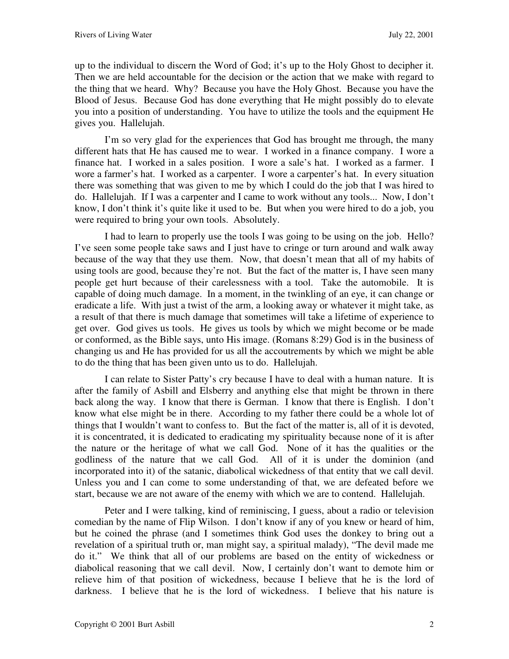up to the individual to discern the Word of God; it's up to the Holy Ghost to decipher it. Then we are held accountable for the decision or the action that we make with regard to the thing that we heard. Why? Because you have the Holy Ghost. Because you have the Blood of Jesus. Because God has done everything that He might possibly do to elevate you into a position of understanding. You have to utilize the tools and the equipment He gives you. Hallelujah.

I'm so very glad for the experiences that God has brought me through, the many different hats that He has caused me to wear. I worked in a finance company. I wore a finance hat. I worked in a sales position. I wore a sale's hat. I worked as a farmer. I wore a farmer's hat. I worked as a carpenter. I wore a carpenter's hat. In every situation there was something that was given to me by which I could do the job that I was hired to do. Hallelujah. If I was a carpenter and I came to work without any tools... Now, I don't know, I don't think it's quite like it used to be. But when you were hired to do a job, you were required to bring your own tools. Absolutely.

 I had to learn to properly use the tools I was going to be using on the job. Hello? I've seen some people take saws and I just have to cringe or turn around and walk away because of the way that they use them. Now, that doesn't mean that all of my habits of using tools are good, because they're not. But the fact of the matter is, I have seen many people get hurt because of their carelessness with a tool. Take the automobile. It is capable of doing much damage. In a moment, in the twinkling of an eye, it can change or eradicate a life. With just a twist of the arm, a looking away or whatever it might take, as a result of that there is much damage that sometimes will take a lifetime of experience to get over. God gives us tools. He gives us tools by which we might become or be made or conformed, as the Bible says, unto His image. (Romans 8:29) God is in the business of changing us and He has provided for us all the accoutrements by which we might be able to do the thing that has been given unto us to do. Hallelujah.

I can relate to Sister Patty's cry because I have to deal with a human nature. It is after the family of Asbill and Elsberry and anything else that might be thrown in there back along the way. I know that there is German. I know that there is English. I don't know what else might be in there. According to my father there could be a whole lot of things that I wouldn't want to confess to. But the fact of the matter is, all of it is devoted, it is concentrated, it is dedicated to eradicating my spirituality because none of it is after the nature or the heritage of what we call God. None of it has the qualities or the godliness of the nature that we call God. All of it is under the dominion (and incorporated into it) of the satanic, diabolical wickedness of that entity that we call devil. Unless you and I can come to some understanding of that, we are defeated before we start, because we are not aware of the enemy with which we are to contend. Hallelujah.

Peter and I were talking, kind of reminiscing, I guess, about a radio or television comedian by the name of Flip Wilson. I don't know if any of you knew or heard of him, but he coined the phrase (and I sometimes think God uses the donkey to bring out a revelation of a spiritual truth or, man might say, a spiritual malady), "The devil made me do it." We think that all of our problems are based on the entity of wickedness or diabolical reasoning that we call devil. Now, I certainly don't want to demote him or relieve him of that position of wickedness, because I believe that he is the lord of darkness. I believe that he is the lord of wickedness. I believe that his nature is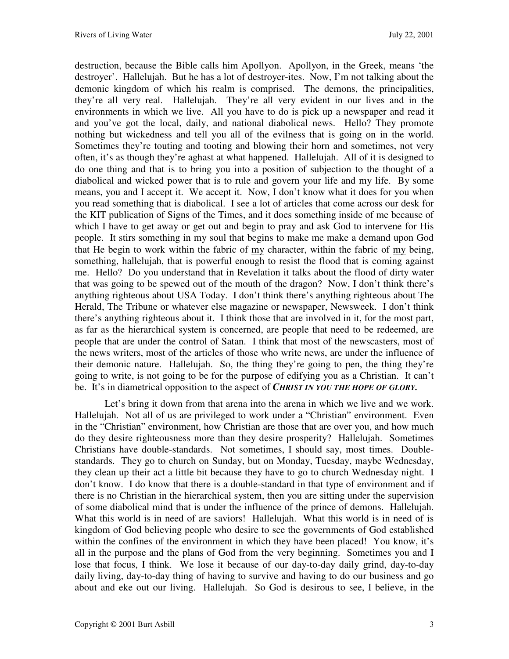destruction, because the Bible calls him Apollyon. Apollyon, in the Greek, means 'the destroyer'. Hallelujah. But he has a lot of destroyer-ites. Now, I'm not talking about the demonic kingdom of which his realm is comprised. The demons, the principalities, they're all very real. Hallelujah. They're all very evident in our lives and in the environments in which we live. All you have to do is pick up a newspaper and read it and you've got the local, daily, and national diabolical news. Hello? They promote nothing but wickedness and tell you all of the evilness that is going on in the world. Sometimes they're touting and tooting and blowing their horn and sometimes, not very often, it's as though they're aghast at what happened. Hallelujah. All of it is designed to do one thing and that is to bring you into a position of subjection to the thought of a diabolical and wicked power that is to rule and govern your life and my life. By some means, you and I accept it. We accept it. Now, I don't know what it does for you when you read something that is diabolical. I see a lot of articles that come across our desk for the KIT publication of Signs of the Times, and it does something inside of me because of which I have to get away or get out and begin to pray and ask God to intervene for His people. It stirs something in my soul that begins to make me make a demand upon God that He begin to work within the fabric of my character, within the fabric of my being, something, hallelujah, that is powerful enough to resist the flood that is coming against me. Hello? Do you understand that in Revelation it talks about the flood of dirty water that was going to be spewed out of the mouth of the dragon? Now, I don't think there's anything righteous about USA Today. I don't think there's anything righteous about The Herald, The Tribune or whatever else magazine or newspaper, Newsweek. I don't think there's anything righteous about it. I think those that are involved in it, for the most part, as far as the hierarchical system is concerned, are people that need to be redeemed, are people that are under the control of Satan. I think that most of the newscasters, most of the news writers, most of the articles of those who write news, are under the influence of their demonic nature. Hallelujah. So, the thing they're going to pen, the thing they're going to write, is not going to be for the purpose of edifying you as a Christian. It can't be. It's in diametrical opposition to the aspect of *CHRIST IN YOU THE HOPE OF GLORY.*

Let's bring it down from that arena into the arena in which we live and we work. Hallelujah. Not all of us are privileged to work under a "Christian" environment. Even in the "Christian" environment, how Christian are those that are over you, and how much do they desire righteousness more than they desire prosperity? Hallelujah. Sometimes Christians have double-standards. Not sometimes, I should say, most times. Doublestandards. They go to church on Sunday, but on Monday, Tuesday, maybe Wednesday, they clean up their act a little bit because they have to go to church Wednesday night. I don't know. I do know that there is a double-standard in that type of environment and if there is no Christian in the hierarchical system, then you are sitting under the supervision of some diabolical mind that is under the influence of the prince of demons. Hallelujah. What this world is in need of are saviors! Hallelujah. What this world is in need of is kingdom of God believing people who desire to see the governments of God established within the confines of the environment in which they have been placed! You know, it's all in the purpose and the plans of God from the very beginning. Sometimes you and I lose that focus, I think. We lose it because of our day-to-day daily grind, day-to-day daily living, day-to-day thing of having to survive and having to do our business and go about and eke out our living. Hallelujah. So God is desirous to see, I believe, in the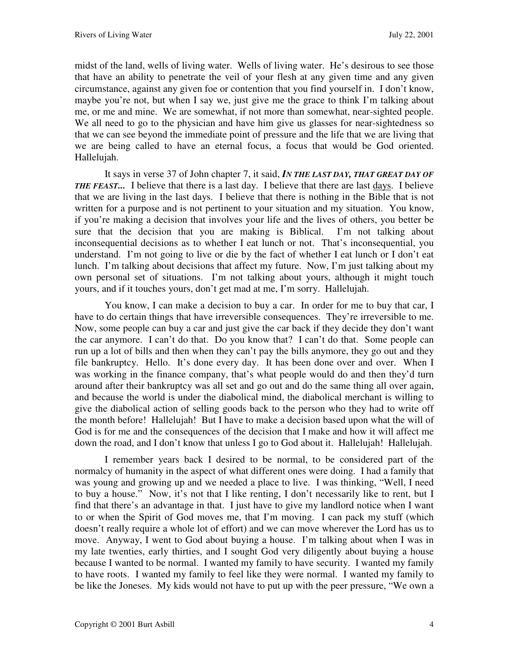midst of the land, wells of living water. Wells of living water. He's desirous to see those that have an ability to penetrate the veil of your flesh at any given time and any given circumstance, against any given foe or contention that you find yourself in. I don't know, maybe you're not, but when I say we, just give me the grace to think I'm talking about me, or me and mine. We are somewhat, if not more than somewhat, near-sighted people. We all need to go to the physician and have him give us glasses for near-sightedness so that we can see beyond the immediate point of pressure and the life that we are living that we are being called to have an eternal focus, a focus that would be God oriented. Hallelujah.

It says in verse 37 of John chapter 7, it said, *IN THE LAST DAY, THAT GREAT DAY OF THE FEAST...* I believe that there is a last day. I believe that there are last days. I believe that we are living in the last days. I believe that there is nothing in the Bible that is not written for a purpose and is not pertinent to your situation and my situation. You know, if you're making a decision that involves your life and the lives of others, you better be sure that the decision that you are making is Biblical. I'm not talking about inconsequential decisions as to whether I eat lunch or not. That's inconsequential, you understand. I'm not going to live or die by the fact of whether I eat lunch or I don't eat lunch. I'm talking about decisions that affect my future. Now, I'm just talking about my own personal set of situations. I'm not talking about yours, although it might touch yours, and if it touches yours, don't get mad at me, I'm sorry. Hallelujah.

You know, I can make a decision to buy a car. In order for me to buy that car, I have to do certain things that have irreversible consequences. They're irreversible to me. Now, some people can buy a car and just give the car back if they decide they don't want the car anymore. I can't do that. Do you know that? I can't do that. Some people can run up a lot of bills and then when they can't pay the bills anymore, they go out and they file bankruptcy. Hello. It's done every day. It has been done over and over. When I was working in the finance company, that's what people would do and then they'd turn around after their bankruptcy was all set and go out and do the same thing all over again, and because the world is under the diabolical mind, the diabolical merchant is willing to give the diabolical action of selling goods back to the person who they had to write off the month before! Hallelujah! But I have to make a decision based upon what the will of God is for me and the consequences of the decision that I make and how it will affect me down the road, and I don't know that unless I go to God about it. Hallelujah! Hallelujah.

I remember years back I desired to be normal, to be considered part of the normalcy of humanity in the aspect of what different ones were doing. I had a family that was young and growing up and we needed a place to live. I was thinking, "Well, I need to buy a house." Now, it's not that I like renting, I don't necessarily like to rent, but I find that there's an advantage in that. I just have to give my landlord notice when I want to or when the Spirit of God moves me, that I'm moving. I can pack my stuff (which doesn't really require a whole lot of effort) and we can move wherever the Lord has us to move. Anyway, I went to God about buying a house. I'm talking about when I was in my late twenties, early thirties, and I sought God very diligently about buying a house because I wanted to be normal. I wanted my family to have security. I wanted my family to have roots. I wanted my family to feel like they were normal. I wanted my family to be like the Joneses. My kids would not have to put up with the peer pressure, "We own a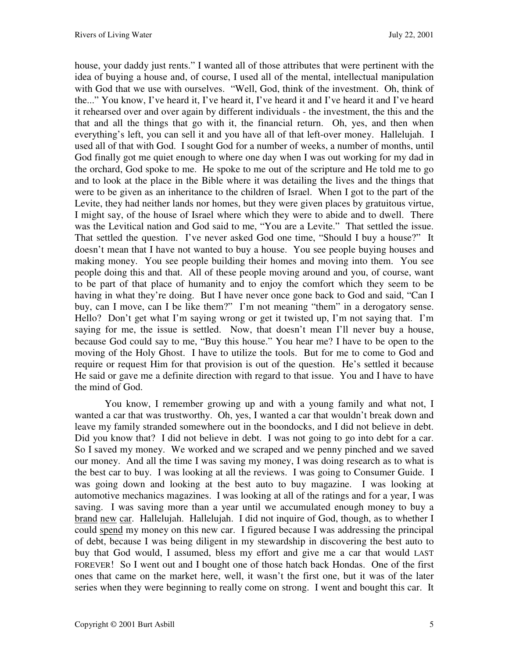house, your daddy just rents." I wanted all of those attributes that were pertinent with the idea of buying a house and, of course, I used all of the mental, intellectual manipulation with God that we use with ourselves. "Well, God, think of the investment. Oh, think of the..." You know, I've heard it, I've heard it, I've heard it and I've heard it and I've heard it rehearsed over and over again by different individuals - the investment, the this and the that and all the things that go with it, the financial return. Oh, yes, and then when everything's left, you can sell it and you have all of that left-over money. Hallelujah. I used all of that with God. I sought God for a number of weeks, a number of months, until God finally got me quiet enough to where one day when I was out working for my dad in the orchard, God spoke to me. He spoke to me out of the scripture and He told me to go and to look at the place in the Bible where it was detailing the lives and the things that were to be given as an inheritance to the children of Israel. When I got to the part of the Levite, they had neither lands nor homes, but they were given places by gratuitous virtue, I might say, of the house of Israel where which they were to abide and to dwell. There was the Levitical nation and God said to me, "You are a Levite." That settled the issue. That settled the question. I've never asked God one time, "Should I buy a house?" It doesn't mean that I have not wanted to buy a house. You see people buying houses and making money. You see people building their homes and moving into them. You see people doing this and that. All of these people moving around and you, of course, want to be part of that place of humanity and to enjoy the comfort which they seem to be having in what they're doing. But I have never once gone back to God and said, "Can I buy, can I move, can I be like them?" I'm not meaning "them" in a derogatory sense. Hello? Don't get what I'm saying wrong or get it twisted up, I'm not saying that. I'm saying for me, the issue is settled. Now, that doesn't mean I'll never buy a house, because God could say to me, "Buy this house." You hear me? I have to be open to the moving of the Holy Ghost. I have to utilize the tools. But for me to come to God and require or request Him for that provision is out of the question. He's settled it because He said or gave me a definite direction with regard to that issue. You and I have to have the mind of God.

You know, I remember growing up and with a young family and what not, I wanted a car that was trustworthy. Oh, yes, I wanted a car that wouldn't break down and leave my family stranded somewhere out in the boondocks, and I did not believe in debt. Did you know that? I did not believe in debt. I was not going to go into debt for a car. So I saved my money. We worked and we scraped and we penny pinched and we saved our money. And all the time I was saving my money, I was doing research as to what is the best car to buy. I was looking at all the reviews. I was going to Consumer Guide. I was going down and looking at the best auto to buy magazine. I was looking at automotive mechanics magazines. I was looking at all of the ratings and for a year, I was saving. I was saving more than a year until we accumulated enough money to buy a brand new car. Hallelujah. Hallelujah. I did not inquire of God, though, as to whether I could spend my money on this new car. I figured because I was addressing the principal of debt, because I was being diligent in my stewardship in discovering the best auto to buy that God would, I assumed, bless my effort and give me a car that would LAST FOREVER! So I went out and I bought one of those hatch back Hondas. One of the first ones that came on the market here, well, it wasn't the first one, but it was of the later series when they were beginning to really come on strong. I went and bought this car. It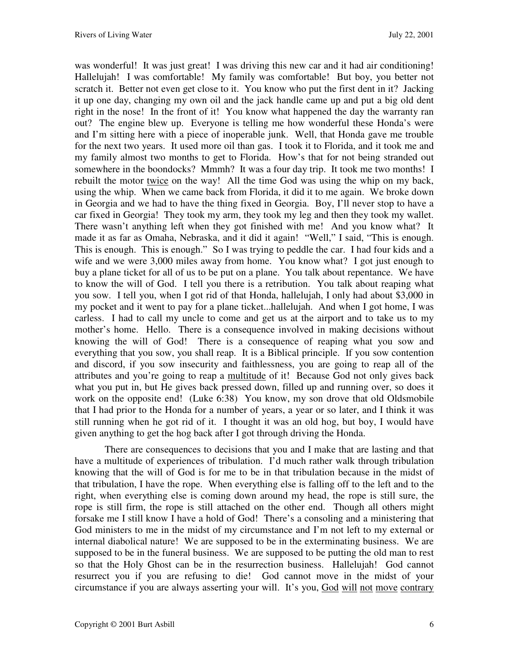was wonderful! It was just great! I was driving this new car and it had air conditioning! Hallelujah! I was comfortable! My family was comfortable! But boy, you better not scratch it. Better not even get close to it. You know who put the first dent in it? Jacking it up one day, changing my own oil and the jack handle came up and put a big old dent right in the nose! In the front of it! You know what happened the day the warranty ran out? The engine blew up. Everyone is telling me how wonderful these Honda's were and I'm sitting here with a piece of inoperable junk. Well, that Honda gave me trouble for the next two years. It used more oil than gas. I took it to Florida, and it took me and my family almost two months to get to Florida. How's that for not being stranded out somewhere in the boondocks? Mmmh? It was a four day trip. It took me two months! I rebuilt the motor twice on the way! All the time God was using the whip on my back, using the whip. When we came back from Florida, it did it to me again. We broke down in Georgia and we had to have the thing fixed in Georgia. Boy, I'll never stop to have a car fixed in Georgia! They took my arm, they took my leg and then they took my wallet. There wasn't anything left when they got finished with me! And you know what? It made it as far as Omaha, Nebraska, and it did it again! "Well," I said, "This is enough. This is enough. This is enough." So I was trying to peddle the car. I had four kids and a wife and we were 3,000 miles away from home. You know what? I got just enough to buy a plane ticket for all of us to be put on a plane. You talk about repentance. We have to know the will of God. I tell you there is a retribution. You talk about reaping what you sow. I tell you, when I got rid of that Honda, hallelujah, I only had about \$3,000 in my pocket and it went to pay for a plane ticket...hallelujah. And when I got home, I was carless. I had to call my uncle to come and get us at the airport and to take us to my mother's home. Hello. There is a consequence involved in making decisions without knowing the will of God! There is a consequence of reaping what you sow and everything that you sow, you shall reap. It is a Biblical principle. If you sow contention and discord, if you sow insecurity and faithlessness, you are going to reap all of the attributes and you're going to reap a multitude of it! Because God not only gives back what you put in, but He gives back pressed down, filled up and running over, so does it work on the opposite end! (Luke 6:38) You know, my son drove that old Oldsmobile that I had prior to the Honda for a number of years, a year or so later, and I think it was still running when he got rid of it. I thought it was an old hog, but boy, I would have given anything to get the hog back after I got through driving the Honda.

There are consequences to decisions that you and I make that are lasting and that have a multitude of experiences of tribulation. I'd much rather walk through tribulation knowing that the will of God is for me to be in that tribulation because in the midst of that tribulation, I have the rope. When everything else is falling off to the left and to the right, when everything else is coming down around my head, the rope is still sure, the rope is still firm, the rope is still attached on the other end. Though all others might forsake me I still know I have a hold of God! There's a consoling and a ministering that God ministers to me in the midst of my circumstance and I'm not left to my external or internal diabolical nature! We are supposed to be in the exterminating business. We are supposed to be in the funeral business. We are supposed to be putting the old man to rest so that the Holy Ghost can be in the resurrection business. Hallelujah! God cannot resurrect you if you are refusing to die! God cannot move in the midst of your circumstance if you are always asserting your will. It's you, God will not move contrary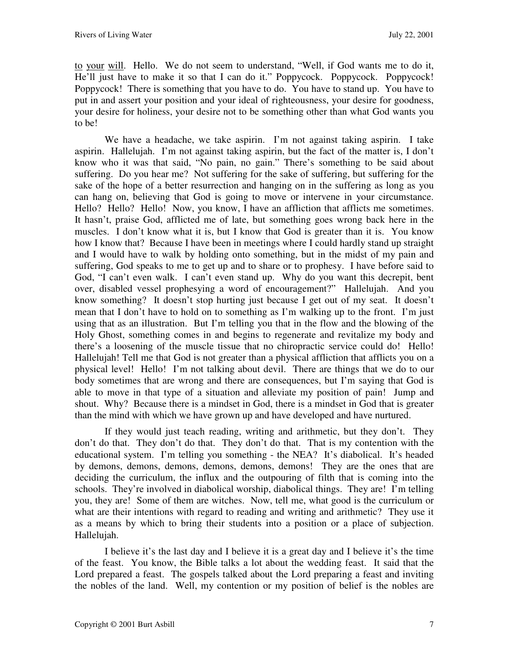to your will. Hello. We do not seem to understand, "Well, if God wants me to do it, He'll just have to make it so that I can do it." Poppycock. Poppycock. Poppycock! Poppycock! There is something that you have to do. You have to stand up. You have to put in and assert your position and your ideal of righteousness, your desire for goodness, your desire for holiness, your desire not to be something other than what God wants you to be!

We have a headache, we take aspirin. I'm not against taking aspirin. I take aspirin. Hallelujah. I'm not against taking aspirin, but the fact of the matter is, I don't know who it was that said, "No pain, no gain." There's something to be said about suffering. Do you hear me? Not suffering for the sake of suffering, but suffering for the sake of the hope of a better resurrection and hanging on in the suffering as long as you can hang on, believing that God is going to move or intervene in your circumstance. Hello? Hello? Hello! Now, you know, I have an affliction that afflicts me sometimes. It hasn't, praise God, afflicted me of late, but something goes wrong back here in the muscles. I don't know what it is, but I know that God is greater than it is. You know how I know that? Because I have been in meetings where I could hardly stand up straight and I would have to walk by holding onto something, but in the midst of my pain and suffering, God speaks to me to get up and to share or to prophesy. I have before said to God, "I can't even walk. I can't even stand up. Why do you want this decrepit, bent over, disabled vessel prophesying a word of encouragement?" Hallelujah. And you know something? It doesn't stop hurting just because I get out of my seat. It doesn't mean that I don't have to hold on to something as I'm walking up to the front. I'm just using that as an illustration. But I'm telling you that in the flow and the blowing of the Holy Ghost, something comes in and begins to regenerate and revitalize my body and there's a loosening of the muscle tissue that no chiropractic service could do! Hello! Hallelujah! Tell me that God is not greater than a physical affliction that afflicts you on a physical level! Hello! I'm not talking about devil. There are things that we do to our body sometimes that are wrong and there are consequences, but I'm saying that God is able to move in that type of a situation and alleviate my position of pain! Jump and shout. Why? Because there is a mindset in God, there is a mindset in God that is greater than the mind with which we have grown up and have developed and have nurtured.

If they would just teach reading, writing and arithmetic, but they don't. They don't do that. They don't do that. They don't do that. That is my contention with the educational system. I'm telling you something - the NEA? It's diabolical. It's headed by demons, demons, demons, demons, demons, demons! They are the ones that are deciding the curriculum, the influx and the outpouring of filth that is coming into the schools. They're involved in diabolical worship, diabolical things. They are! I'm telling you, they are! Some of them are witches. Now, tell me, what good is the curriculum or what are their intentions with regard to reading and writing and arithmetic? They use it as a means by which to bring their students into a position or a place of subjection. Hallelujah.

I believe it's the last day and I believe it is a great day and I believe it's the time of the feast. You know, the Bible talks a lot about the wedding feast. It said that the Lord prepared a feast. The gospels talked about the Lord preparing a feast and inviting the nobles of the land. Well, my contention or my position of belief is the nobles are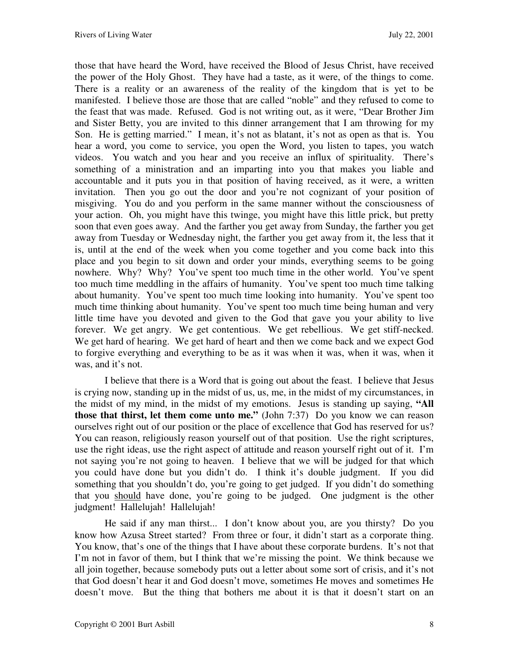those that have heard the Word, have received the Blood of Jesus Christ, have received the power of the Holy Ghost. They have had a taste, as it were, of the things to come. There is a reality or an awareness of the reality of the kingdom that is yet to be manifested. I believe those are those that are called "noble" and they refused to come to the feast that was made. Refused. God is not writing out, as it were, "Dear Brother Jim and Sister Betty, you are invited to this dinner arrangement that I am throwing for my Son. He is getting married." I mean, it's not as blatant, it's not as open as that is. You hear a word, you come to service, you open the Word, you listen to tapes, you watch videos. You watch and you hear and you receive an influx of spirituality. There's something of a ministration and an imparting into you that makes you liable and accountable and it puts you in that position of having received, as it were, a written invitation. Then you go out the door and you're not cognizant of your position of misgiving. You do and you perform in the same manner without the consciousness of your action. Oh, you might have this twinge, you might have this little prick, but pretty soon that even goes away. And the farther you get away from Sunday, the farther you get away from Tuesday or Wednesday night, the farther you get away from it, the less that it is, until at the end of the week when you come together and you come back into this place and you begin to sit down and order your minds, everything seems to be going nowhere. Why? Why? You've spent too much time in the other world. You've spent too much time meddling in the affairs of humanity. You've spent too much time talking about humanity. You've spent too much time looking into humanity. You've spent too much time thinking about humanity. You've spent too much time being human and very little time have you devoted and given to the God that gave you your ability to live forever. We get angry. We get contentious. We get rebellious. We get stiff-necked. We get hard of hearing. We get hard of heart and then we come back and we expect God to forgive everything and everything to be as it was when it was, when it was, when it was, and it's not.

I believe that there is a Word that is going out about the feast. I believe that Jesus is crying now, standing up in the midst of us, us, me, in the midst of my circumstances, in the midst of my mind, in the midst of my emotions. Jesus is standing up saying, **"All those that thirst, let them come unto me."** (John 7:37) Do you know we can reason ourselves right out of our position or the place of excellence that God has reserved for us? You can reason, religiously reason yourself out of that position. Use the right scriptures, use the right ideas, use the right aspect of attitude and reason yourself right out of it. I'm not saying you're not going to heaven. I believe that we will be judged for that which you could have done but you didn't do. I think it's double judgment. If you did something that you shouldn't do, you're going to get judged. If you didn't do something that you should have done, you're going to be judged. One judgment is the other judgment! Hallelujah! Hallelujah!

He said if any man thirst... I don't know about you, are you thirsty? Do you know how Azusa Street started? From three or four, it didn't start as a corporate thing. You know, that's one of the things that I have about these corporate burdens. It's not that I'm not in favor of them, but I think that we're missing the point. We think because we all join together, because somebody puts out a letter about some sort of crisis, and it's not that God doesn't hear it and God doesn't move, sometimes He moves and sometimes He doesn't move. But the thing that bothers me about it is that it doesn't start on an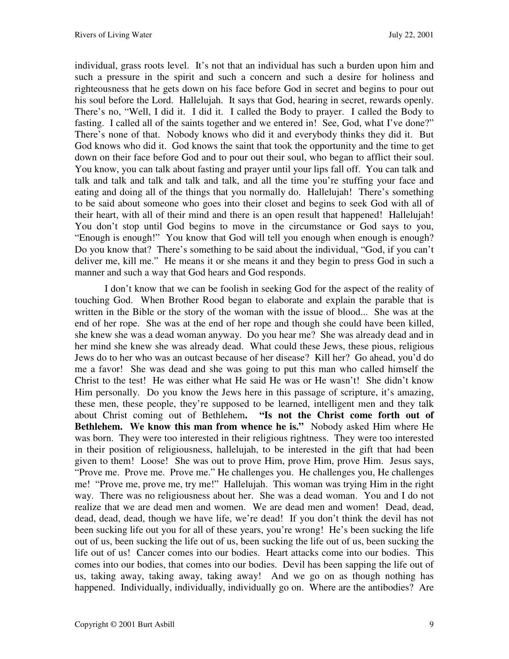individual, grass roots level. It's not that an individual has such a burden upon him and such a pressure in the spirit and such a concern and such a desire for holiness and righteousness that he gets down on his face before God in secret and begins to pour out his soul before the Lord. Hallelujah. It says that God, hearing in secret, rewards openly. There's no, "Well, I did it. I did it. I called the Body to prayer. I called the Body to fasting. I called all of the saints together and we entered in! See, God, what I've done?" There's none of that. Nobody knows who did it and everybody thinks they did it. But God knows who did it. God knows the saint that took the opportunity and the time to get down on their face before God and to pour out their soul, who began to afflict their soul. You know, you can talk about fasting and prayer until your lips fall off. You can talk and talk and talk and talk and talk and talk, and all the time you're stuffing your face and eating and doing all of the things that you normally do. Hallelujah! There's something to be said about someone who goes into their closet and begins to seek God with all of their heart, with all of their mind and there is an open result that happened! Hallelujah! You don't stop until God begins to move in the circumstance or God says to you, "Enough is enough!" You know that God will tell you enough when enough is enough? Do you know that? There's something to be said about the individual, "God, if you can't deliver me, kill me." He means it or she means it and they begin to press God in such a manner and such a way that God hears and God responds.

I don't know that we can be foolish in seeking God for the aspect of the reality of touching God. When Brother Rood began to elaborate and explain the parable that is written in the Bible or the story of the woman with the issue of blood... She was at the end of her rope. She was at the end of her rope and though she could have been killed, she knew she was a dead woman anyway. Do you hear me? She was already dead and in her mind she knew she was already dead. What could these Jews, these pious, religious Jews do to her who was an outcast because of her disease? Kill her? Go ahead, you'd do me a favor! She was dead and she was going to put this man who called himself the Christ to the test! He was either what He said He was or He wasn't! She didn't know Him personally. Do you know the Jews here in this passage of scripture, it's amazing, these men, these people, they're supposed to be learned, intelligent men and they talk about Christ coming out of Bethlehem**. "Is not the Christ come forth out of Bethlehem. We know this man from whence he is."** Nobody asked Him where He was born. They were too interested in their religious rightness. They were too interested in their position of religiousness, hallelujah, to be interested in the gift that had been given to them! Loose! She was out to prove Him, prove Him, prove Him. Jesus says, "Prove me. Prove me. Prove me." He challenges you. He challenges you, He challenges me! "Prove me, prove me, try me!" Hallelujah. This woman was trying Him in the right way. There was no religiousness about her. She was a dead woman. You and I do not realize that we are dead men and women. We are dead men and women! Dead, dead, dead, dead, dead, though we have life, we're dead! If you don't think the devil has not been sucking life out you for all of these years, you're wrong! He's been sucking the life out of us, been sucking the life out of us, been sucking the life out of us, been sucking the life out of us! Cancer comes into our bodies. Heart attacks come into our bodies. This comes into our bodies, that comes into our bodies. Devil has been sapping the life out of us, taking away, taking away, taking away! And we go on as though nothing has happened. Individually, individually, individually go on. Where are the antibodies? Are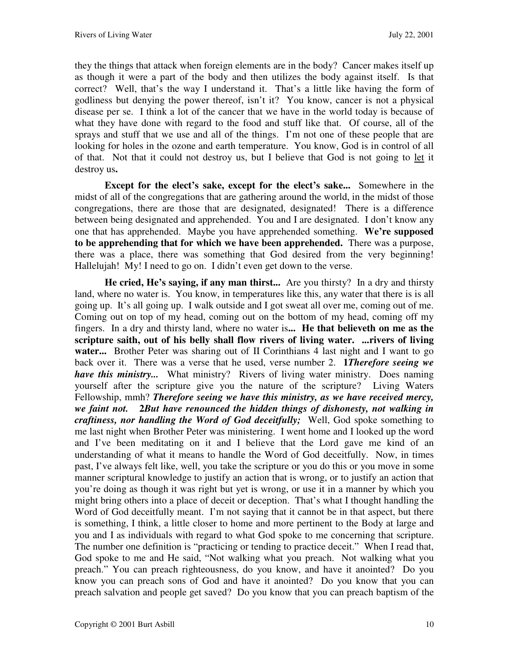they the things that attack when foreign elements are in the body? Cancer makes itself up as though it were a part of the body and then utilizes the body against itself. Is that correct? Well, that's the way I understand it. That's a little like having the form of godliness but denying the power thereof, isn't it? You know, cancer is not a physical disease per se. I think a lot of the cancer that we have in the world today is because of what they have done with regard to the food and stuff like that. Of course, all of the sprays and stuff that we use and all of the things. I'm not one of these people that are looking for holes in the ozone and earth temperature. You know, God is in control of all of that. Not that it could not destroy us, but I believe that God is not going to let it destroy us**.** 

**Except for the elect's sake, except for the elect's sake...** Somewhere in the midst of all of the congregations that are gathering around the world, in the midst of those congregations, there are those that are designated, designated! There is a difference between being designated and apprehended. You and I are designated. I don't know any one that has apprehended. Maybe you have apprehended something. **We're supposed to be apprehending that for which we have been apprehended.** There was a purpose, there was a place, there was something that God desired from the very beginning! Hallelujah! My! I need to go on. I didn't even get down to the verse.

**He cried, He's saying, if any man thirst...** Are you thirsty? In a dry and thirsty land, where no water is. You know, in temperatures like this, any water that there is is all going up. It's all going up. I walk outside and I got sweat all over me, coming out of me. Coming out on top of my head, coming out on the bottom of my head, coming off my fingers. In a dry and thirsty land, where no water is**... He that believeth on me as the scripture saith, out of his belly shall flow rivers of living water. ...rivers of living**  water... Brother Peter was sharing out of II Corinthians 4 last night and I want to go back over it. There was a verse that he used, verse number 2. **1***Therefore seeing we have this ministry...* What ministry? Rivers of living water ministry. Does naming yourself after the scripture give you the nature of the scripture? Living Waters Fellowship, mmh? *Therefore seeing we have this ministry, as we have received mercy, we faint not.* **2***But have renounced the hidden things of dishonesty, not walking in craftiness, nor handling the Word of God deceitfully;* Well, God spoke something to me last night when Brother Peter was ministering. I went home and I looked up the word and I've been meditating on it and I believe that the Lord gave me kind of an understanding of what it means to handle the Word of God deceitfully. Now, in times past, I've always felt like, well, you take the scripture or you do this or you move in some manner scriptural knowledge to justify an action that is wrong, or to justify an action that you're doing as though it was right but yet is wrong, or use it in a manner by which you might bring others into a place of deceit or deception. That's what I thought handling the Word of God deceitfully meant. I'm not saying that it cannot be in that aspect, but there is something, I think, a little closer to home and more pertinent to the Body at large and you and I as individuals with regard to what God spoke to me concerning that scripture. The number one definition is "practicing or tending to practice deceit." When I read that, God spoke to me and He said, "Not walking what you preach. Not walking what you preach." You can preach righteousness, do you know, and have it anointed? Do you know you can preach sons of God and have it anointed? Do you know that you can preach salvation and people get saved? Do you know that you can preach baptism of the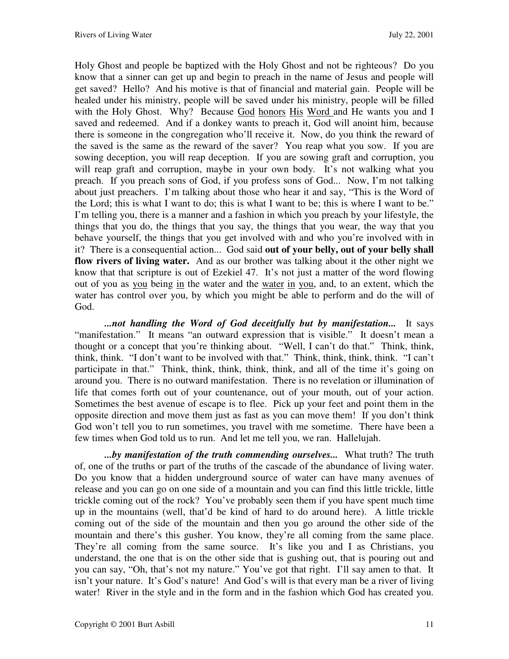Holy Ghost and people be baptized with the Holy Ghost and not be righteous? Do you know that a sinner can get up and begin to preach in the name of Jesus and people will get saved? Hello? And his motive is that of financial and material gain. People will be healed under his ministry, people will be saved under his ministry, people will be filled with the Holy Ghost. Why? Because God honors His Word and He wants you and I saved and redeemed. And if a donkey wants to preach it, God will anoint him, because there is someone in the congregation who'll receive it. Now, do you think the reward of the saved is the same as the reward of the saver? You reap what you sow. If you are sowing deception, you will reap deception. If you are sowing graft and corruption, you will reap graft and corruption, maybe in your own body. It's not walking what you preach. If you preach sons of God, if you profess sons of God... Now, I'm not talking about just preachers. I'm talking about those who hear it and say, "This is the Word of the Lord; this is what I want to do; this is what I want to be; this is where I want to be." I'm telling you, there is a manner and a fashion in which you preach by your lifestyle, the things that you do, the things that you say, the things that you wear, the way that you behave yourself, the things that you get involved with and who you're involved with in it? There is a consequential action... God said **out of your belly, out of your belly shall flow rivers of living water.** And as our brother was talking about it the other night we know that that scripture is out of Ezekiel 47. It's not just a matter of the word flowing out of you as you being in the water and the water in you, and, to an extent, which the water has control over you, by which you might be able to perform and do the will of God.

*...not handling the Word of God deceitfully but by manifestation...* It says "manifestation." It means "an outward expression that is visible." It doesn't mean a thought or a concept that you're thinking about. "Well, I can't do that." Think, think, think, think. "I don't want to be involved with that." Think, think, think, think. "I can't participate in that." Think, think, think, think, think, and all of the time it's going on around you. There is no outward manifestation. There is no revelation or illumination of life that comes forth out of your countenance, out of your mouth, out of your action. Sometimes the best avenue of escape is to flee. Pick up your feet and point them in the opposite direction and move them just as fast as you can move them! If you don't think God won't tell you to run sometimes, you travel with me sometime. There have been a few times when God told us to run. And let me tell you, we ran. Hallelujah.

*...by manifestation of the truth commending ourselves...* What truth? The truth of, one of the truths or part of the truths of the cascade of the abundance of living water. Do you know that a hidden underground source of water can have many avenues of release and you can go on one side of a mountain and you can find this little trickle, little trickle coming out of the rock? You've probably seen them if you have spent much time up in the mountains (well, that'd be kind of hard to do around here). A little trickle coming out of the side of the mountain and then you go around the other side of the mountain and there's this gusher. You know, they're all coming from the same place. They're all coming from the same source. It's like you and I as Christians, you understand, the one that is on the other side that is gushing out, that is pouring out and you can say, "Oh, that's not my nature." You've got that right. I'll say amen to that. It isn't your nature. It's God's nature! And God's will is that every man be a river of living water! River in the style and in the form and in the fashion which God has created you.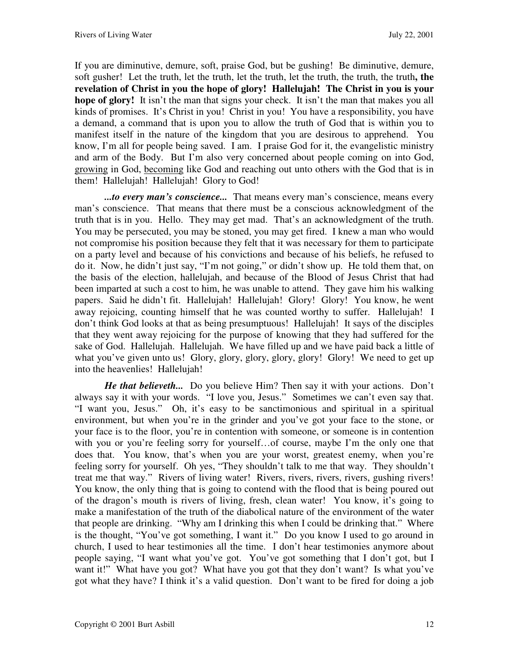If you are diminutive, demure, soft, praise God, but be gushing! Be diminutive, demure, soft gusher! Let the truth, let the truth, let the truth, let the truth, the truth, the truth**, the revelation of Christ in you the hope of glory! Hallelujah! The Christ in you is your hope of glory!** It isn't the man that signs your check. It isn't the man that makes you all kinds of promises. It's Christ in you! Christ in you! You have a responsibility, you have a demand, a command that is upon you to allow the truth of God that is within you to manifest itself in the nature of the kingdom that you are desirous to apprehend. You know, I'm all for people being saved. I am. I praise God for it, the evangelistic ministry and arm of the Body. But I'm also very concerned about people coming on into God, growing in God, becoming like God and reaching out unto others with the God that is in them! Hallelujah! Hallelujah! Glory to God!

*...to every man's conscience...* That means every man's conscience, means every man's conscience. That means that there must be a conscious acknowledgment of the truth that is in you. Hello. They may get mad. That's an acknowledgment of the truth. You may be persecuted, you may be stoned, you may get fired. I knew a man who would not compromise his position because they felt that it was necessary for them to participate on a party level and because of his convictions and because of his beliefs, he refused to do it. Now, he didn't just say, "I'm not going," or didn't show up. He told them that, on the basis of the election, hallelujah, and because of the Blood of Jesus Christ that had been imparted at such a cost to him, he was unable to attend. They gave him his walking papers. Said he didn't fit. Hallelujah! Hallelujah! Glory! Glory! You know, he went away rejoicing, counting himself that he was counted worthy to suffer. Hallelujah! I don't think God looks at that as being presumptuous! Hallelujah! It says of the disciples that they went away rejoicing for the purpose of knowing that they had suffered for the sake of God. Hallelujah. Hallelujah. We have filled up and we have paid back a little of what you've given unto us! Glory, glory, glory, glory, glory! Glory! We need to get up into the heavenlies! Hallelujah!

*He that believeth...* Do you believe Him? Then say it with your actions. Don't always say it with your words. "I love you, Jesus." Sometimes we can't even say that. "I want you, Jesus." Oh, it's easy to be sanctimonious and spiritual in a spiritual environment, but when you're in the grinder and you've got your face to the stone, or your face is to the floor, you're in contention with someone, or someone is in contention with you or you're feeling sorry for yourself...of course, maybe I'm the only one that does that. You know, that's when you are your worst, greatest enemy, when you're feeling sorry for yourself. Oh yes, "They shouldn't talk to me that way. They shouldn't treat me that way." Rivers of living water! Rivers, rivers, rivers, rivers, gushing rivers! You know, the only thing that is going to contend with the flood that is being poured out of the dragon's mouth is rivers of living, fresh, clean water! You know, it's going to make a manifestation of the truth of the diabolical nature of the environment of the water that people are drinking. "Why am I drinking this when I could be drinking that." Where is the thought, "You've got something, I want it." Do you know I used to go around in church, I used to hear testimonies all the time. I don't hear testimonies anymore about people saying, "I want what you've got. You've got something that I don't got, but I want it!" What have you got? What have you got that they don't want? Is what you've got what they have? I think it's a valid question. Don't want to be fired for doing a job